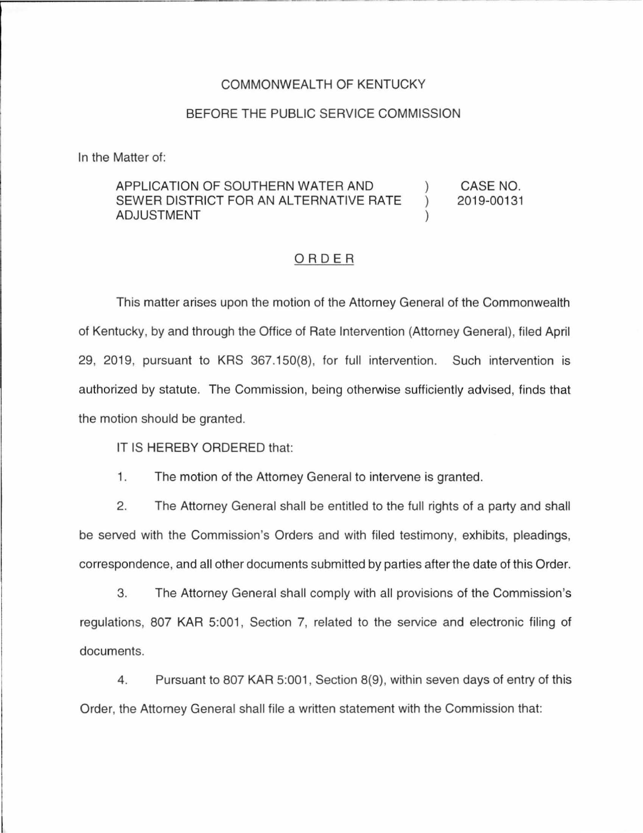## COMMONWEALTH OF KENTUCKY

### BEFORE **THE** PUBLIC SERVICE COMMISSION

In the Matter of:

#### APPLICATION OF SOUTHERN WATER AND SEWER DISTRICT FOR AN ALTERNATIVE RATE ADJUSTMENT ) ) ) CASE NO. 2019-00131

## ORDER

This matter arises upon the motion of the Attorney General of the Commonwealth of Kentucky, by and through the Office of Rate Intervention (Attorney General), filed April 29, 2019, pursuant to KRS 367.150(8), for full intervention. Such intervention is authorized by statute. The Commission, being otherwise sufficiently advised, finds that the motion should be granted.

IT IS HEREBY ORDERED that:

1. The motion of the Attorney General to intervene is granted.

2. The Attorney General shall be entitled to the full rights of a party and shall be served with the Commission's Orders and with filed testimony, exhibits, pleadings, correspondence, and all other documents submitted by parties after the date of this Order.

3. The Attorney General shall comply with all provisions of the Commission's regulations, 807 KAR 5:001, Section 7, related to the service and electronic filing of documents.

4. Pursuant to 807 KAR 5:001 , Section 8(9), within seven days of entry of this Order, the Attorney General shall file a written statement with the Commission that: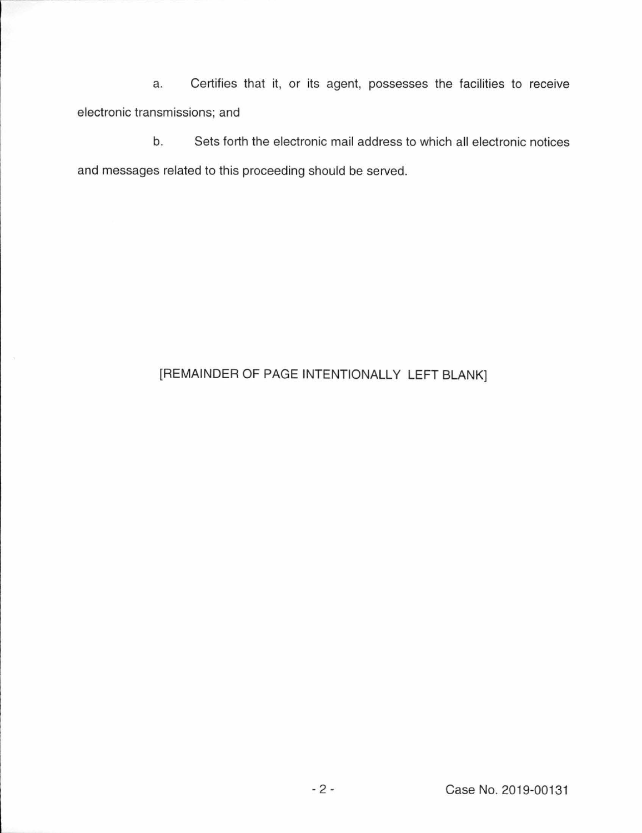a. Certifies that it, or its agent, possesses the facilities to receive electronic transmissions; and

b. Sets forth the electronic mail address to which all electronic notices and messages related to this proceeding should be served.

# [REMAINDER OF PAGE INTENTIONALLY LEFT BLANK]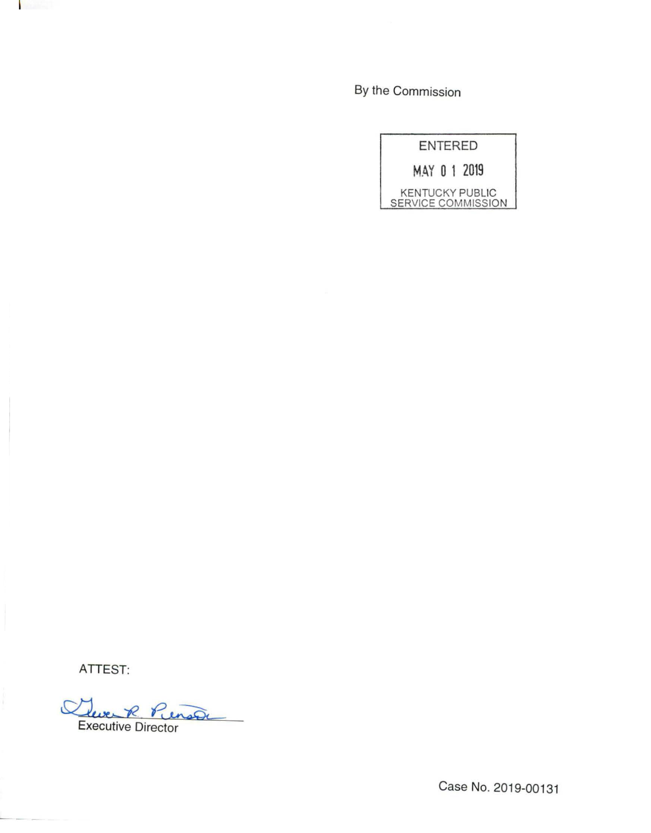By the Commission

| <b>ENTERED</b> |  |  |  |                                              |
|----------------|--|--|--|----------------------------------------------|
|                |  |  |  | MAY 0 1 2019                                 |
|                |  |  |  | <b>KENTUCKY PUBLIC</b><br>SERVICE COMMISSION |

ATTEST:

Cleve R Pienson

Case No. 2019-00131